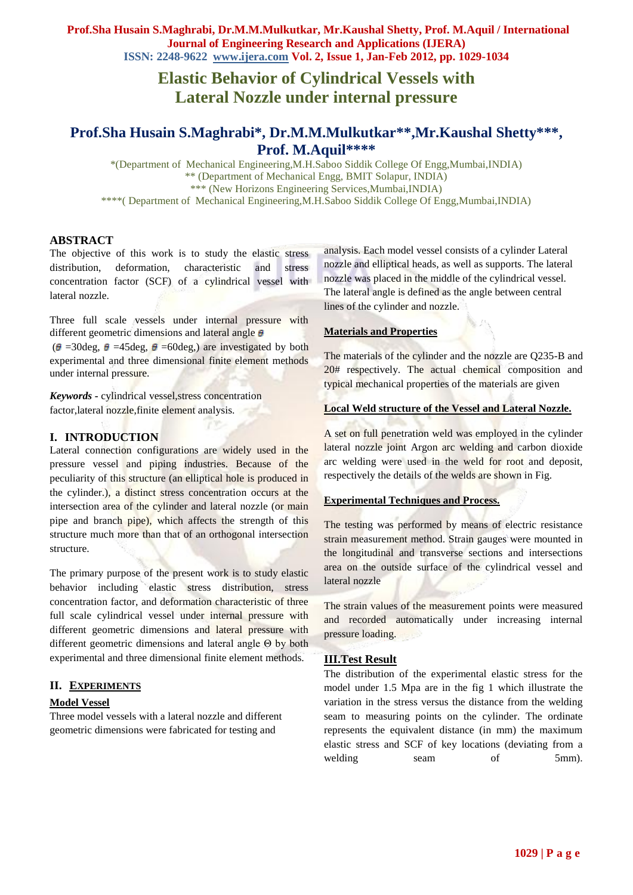# **Elastic Behavior of Cylindrical Vessels with Lateral Nozzle under internal pressure**

## **Prof.Sha Husain S.Maghrabi\*, Dr.M.M.Mulkutkar\*\*,Mr.Kaushal Shetty\*\*\*, Prof. M.Aquil\*\*\*\***

\*(Department of Mechanical Engineering,M.H.Saboo Siddik College Of Engg,Mumbai,INDIA) \*\* (Department of Mechanical Engg, BMIT Solapur, INDIA) \*\*\* (New Horizons Engineering Services,Mumbai,INDIA) \*\*\*\*( Department of Mechanical Engineering,M.H.Saboo Siddik College Of Engg,Mumbai,INDIA)

### **ABSTRACT**

The objective of this work is to study the elastic stress distribution, deformation, characteristic and stress concentration factor (SCF) of a cylindrical vessel with lateral nozzle.

Three full scale vessels under internal pressure with different geometric dimensions and lateral angle  $\theta$ 

 $(\theta = 30 \text{deg}, \theta = 45 \text{deg}, \theta = 60 \text{deg})$  are investigated by both experimental and three dimensional finite element methods under internal pressure.

*Keywords* **-** cylindrical vessel,stress concentration factor,lateral nozzle,finite element analysis.

### **I. INTRODUCTION**

Lateral connection configurations are widely used in the pressure vessel and piping industries. Because of the peculiarity of this structure (an elliptical hole is produced in the cylinder.), a distinct stress concentration occurs at the intersection area of the cylinder and lateral nozzle (or main pipe and branch pipe), which affects the strength of this structure much more than that of an orthogonal intersection structure.

The primary purpose of the present work is to study elastic behavior including elastic stress distribution, stress concentration factor, and deformation characteristic of three full scale cylindrical vessel under internal pressure with different geometric dimensions and lateral pressure with different geometric dimensions and lateral angle Θ by both experimental and three dimensional finite element methods.

### **II. EXPERIMENTS**

### **Model Vessel**

Three model vessels with a lateral nozzle and different geometric dimensions were fabricated for testing and

analysis. Each model vessel consists of a cylinder Lateral nozzle and elliptical heads, as well as supports. The lateral nozzle was placed in the middle of the cylindrical vessel. The lateral angle is defined as the angle between central lines of the cylinder and nozzle.

### **Materials and Properties**

The materials of the cylinder and the nozzle are Q235-B and 20# respectively. The actual chemical composition and typical mechanical properties of the materials are given

### **Local Weld structure of the Vessel and Lateral Nozzle.**

A set on full penetration weld was employed in the cylinder lateral nozzle joint Argon arc welding and carbon dioxide arc welding were used in the weld for root and deposit, respectively the details of the welds are shown in Fig.

### **Experimental Techniques and Process.**

The testing was performed by means of electric resistance strain measurement method. Strain gauges were mounted in the longitudinal and transverse sections and intersections area on the outside surface of the cylindrical vessel and lateral nozzle

The strain values of the measurement points were measured and recorded automatically under increasing internal pressure loading.

### **III.Test Result**

The distribution of the experimental elastic stress for the model under 1.5 Mpa are in the fig 1 which illustrate the variation in the stress versus the distance from the welding seam to measuring points on the cylinder. The ordinate represents the equivalent distance (in mm) the maximum elastic stress and SCF of key locations (deviating from a welding seam of 5mm).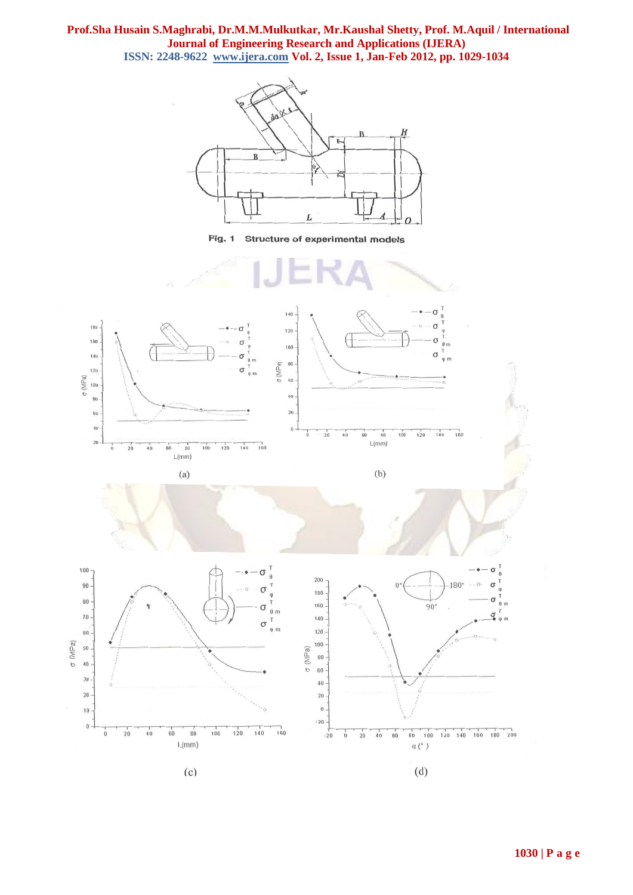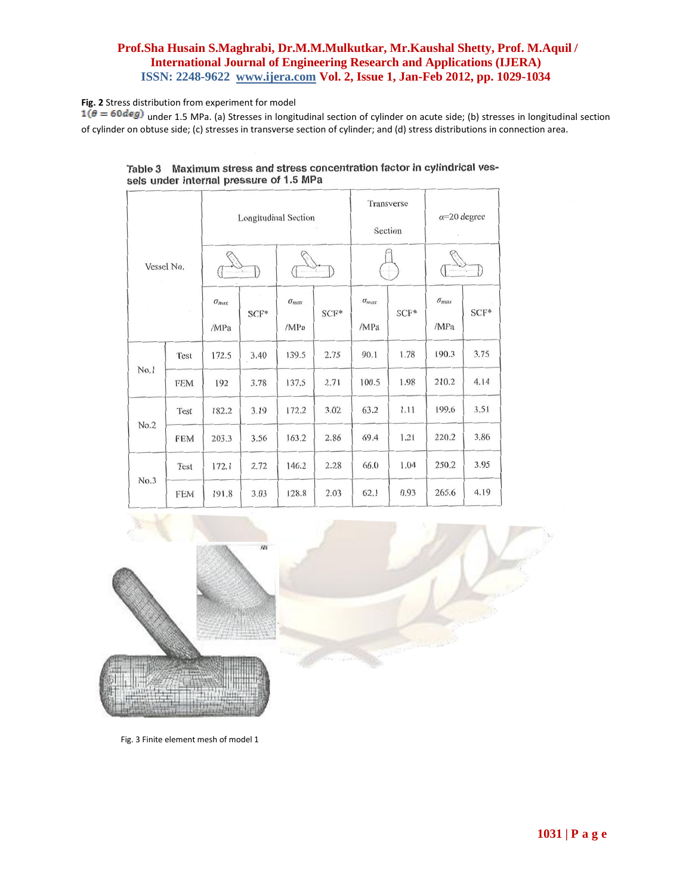### **Fig. 2** Stress distribution from experiment for model

 $1(\theta = 60deg)$  under 1.5 MPa. (a) Stresses in longitudinal section of cylinder on acute side; (b) stresses in longitudinal section of cylinder on obtuse side; (c) stresses in transverse section of cylinder; and (d) stress distributions in connection area.

| Vessel No.<br>$\mathcal{A}$ |            | <b>Longitudinal Section</b> |      |                        |        | Transverse<br>Section  |      | $\alpha = 20$ degree   |      |
|-----------------------------|------------|-----------------------------|------|------------------------|--------|------------------------|------|------------------------|------|
|                             |            |                             |      |                        |        |                        |      |                        |      |
|                             |            | $\sigma_{max}$<br>/MPa      | SCF* | $\sigma_{max}$<br>/MPa | $SCF*$ | $\sigma_{max}$<br>/MPa | SCF* | $\sigma_{max}$<br>/MPa | SCF* |
| No.1                        | Test       | 172.5                       | 3.40 | 139.5                  | 2.75   | 90.1                   | 1.78 | 190.3                  | 3.75 |
|                             | <b>FEM</b> | 192                         | 3.78 | 137.5                  | 2.71   | 100.5                  | 1.98 | 210.2                  | 4.14 |
| No.2                        | Test       | 182.2                       | 3.19 | 172.2                  | 3.02   | 63.2                   | 1.11 | 199.6                  | 3.51 |
|                             | <b>FEM</b> | 203.3                       | 3.56 | 163.2                  | 2.86   | 69.4                   | 1.21 | 220.2                  | 3.86 |
| No.3                        | Test       | 172.1                       | 2.72 | 146.2                  | 2.28   | 66.0                   | 1.04 | 250.2                  | 3.95 |
|                             | <b>FEM</b> | 191.8                       | 3.03 | 128.8                  | 2.03   | 62.1                   | 0.93 | 265.6                  | 4.19 |

Table 3 Maximum stress and stress concentration factor in cylindrical vessels under internal pressure of 1.5 MPa



Fig. 3 Finite element mesh of model 1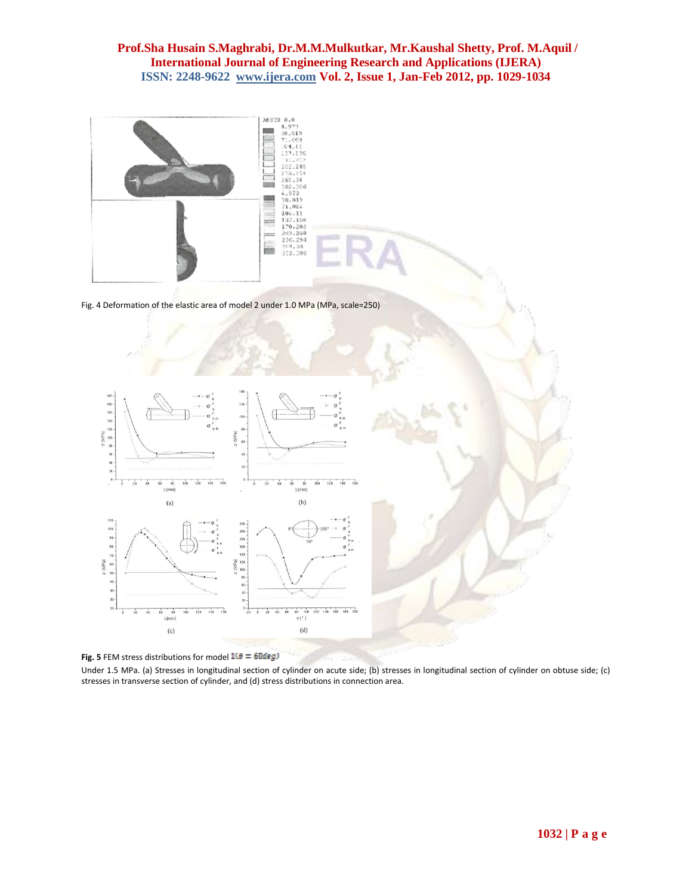



 $L(mm)$ 

 $(c)$ 

Under 1.5 MPa. (a) Stresses in longitudinal section of cylinder on acute side; (b) stresses in longitudinal section of cylinder on obtuse side; (c) stresses in transverse section of cylinder, and (d) stress distributions in connection area.

 $(d)$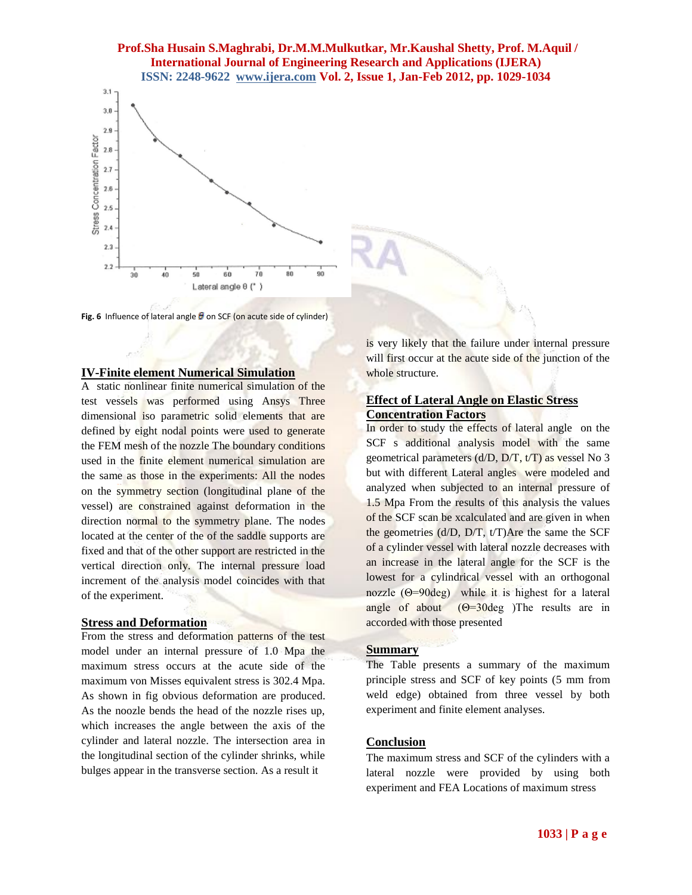

Fig. 6 Influence of lateral angle  $\theta$  on SCF (on acute side of cylinder)

#### **IV-Finite element Numerical Simulation**

A static nonlinear finite numerical simulation of the test vessels was performed using Ansys Three dimensional iso parametric solid elements that are defined by eight nodal points were used to generate the FEM mesh of the nozzle The boundary conditions used in the finite element numerical simulation are the same as those in the experiments: All the nodes on the symmetry section (longitudinal plane of the vessel) are constrained against deformation in the direction normal to the symmetry plane. The nodes located at the center of the of the saddle supports are fixed and that of the other support are restricted in the vertical direction only. The internal pressure load increment of the analysis model coincides with that of the experiment.

#### **Stress and Deformation**

From the stress and deformation patterns of the test model under an internal pressure of 1.0 Mpa the maximum stress occurs at the acute side of the maximum von Misses equivalent stress is 302.4 Mpa. As shown in fig obvious deformation are produced. As the noozle bends the head of the nozzle rises up, which increases the angle between the axis of the cylinder and lateral nozzle. The intersection area in the longitudinal section of the cylinder shrinks, while bulges appear in the transverse section. As a result it

is very likely that the failure under internal pressure will first occur at the acute side of the junction of the whole structure.

#### **Effect of Lateral Angle on Elastic Stress Concentration Factors**

In order to study the effects of lateral angle on the SCF s additional analysis model with the same geometrical parameters (d/D, D/T, t/T) as vessel No 3 but with different Lateral angles were modeled and analyzed when subjected to an internal pressure of 1.5 Mpa From the results of this analysis the values of the SCF scan be xcalculated and are given in when the geometries (d/D, D/T, t/T)Are the same the SCF of a cylinder vessel with lateral nozzle decreases with an increase in the lateral angle for the SCF is the lowest for a cylindrical vessel with an orthogonal nozzle (Θ=90deg) while it is highest for a lateral angle of about  $(\Theta = 30 \text{ deg})$  The results are in accorded with those presented

#### **Summary**

The Table presents a summary of the maximum principle stress and SCF of key points (5 mm from weld edge) obtained from three vessel by both experiment and finite element analyses.

#### **Conclusion**

The maximum stress and SCF of the cylinders with a lateral nozzle were provided by using both experiment and FEA Locations of maximum stress